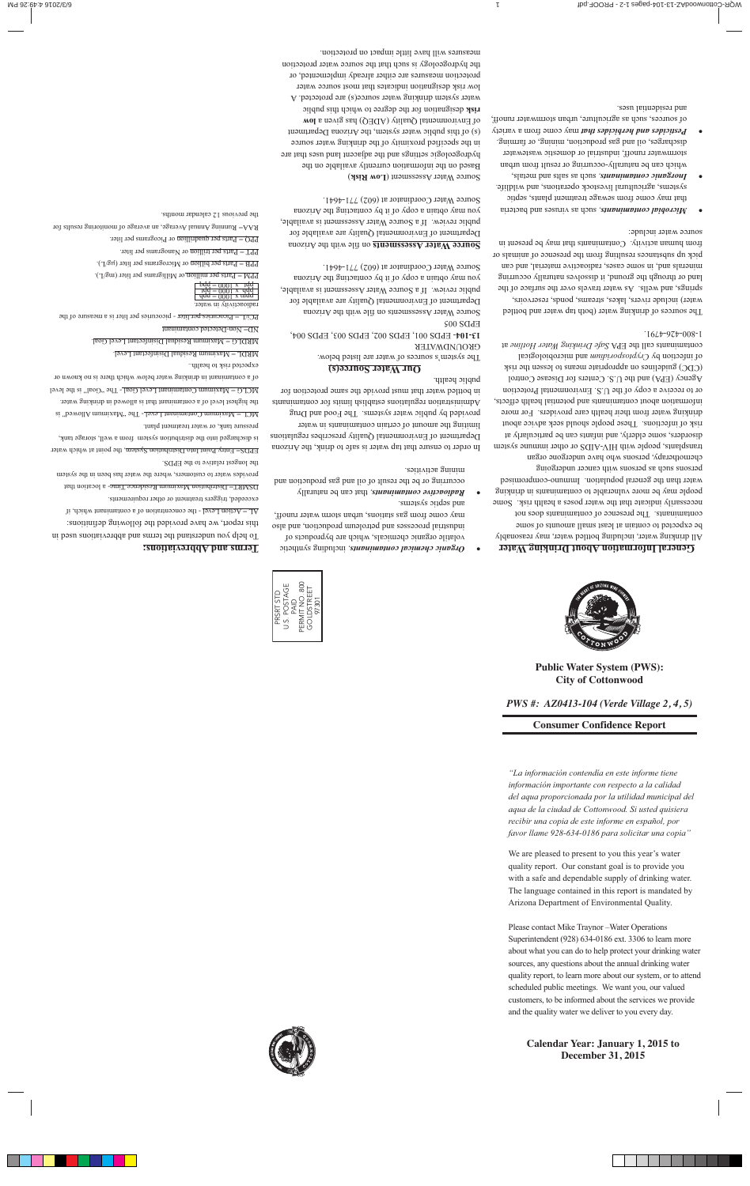

# **Public Water System (PWS): City of Cottonwood**

# *PWS #: AZ0413-104 (Verde Village 2, 4, 5)*

## **Consumer Confidence Report**

*"La información contendía en este informe tiene información importante con respecto a la calidad del aqua proporcionada por la utilidad municipal del aqua de la ciudad de Cottonwood. Si usted quisiera recibir una copia de este informe en español, por favor llame 928-634-0186 para solicitar una copia"*

We are pleased to present to you this year's water quality report. Our constant goal is to provide you with a safe and dependable supply of drinking water. The language contained in this report is mandated by Arizona Department of Environmental Quality.

Please contact Mike Traynor –Water Operations Superintendent (928) 634-0186 ext. 3306 to learn more about what you can do to help protect your drinking water sources, any questions about the annual drinking water quality report, to learn more about our system, or to attend scheduled public meetings. We want you, our valued customers, to be informed about the services we provide and the quality water we deliver to you every day.

# **Calendar Year: January 1, 2015 to December 31, 2015**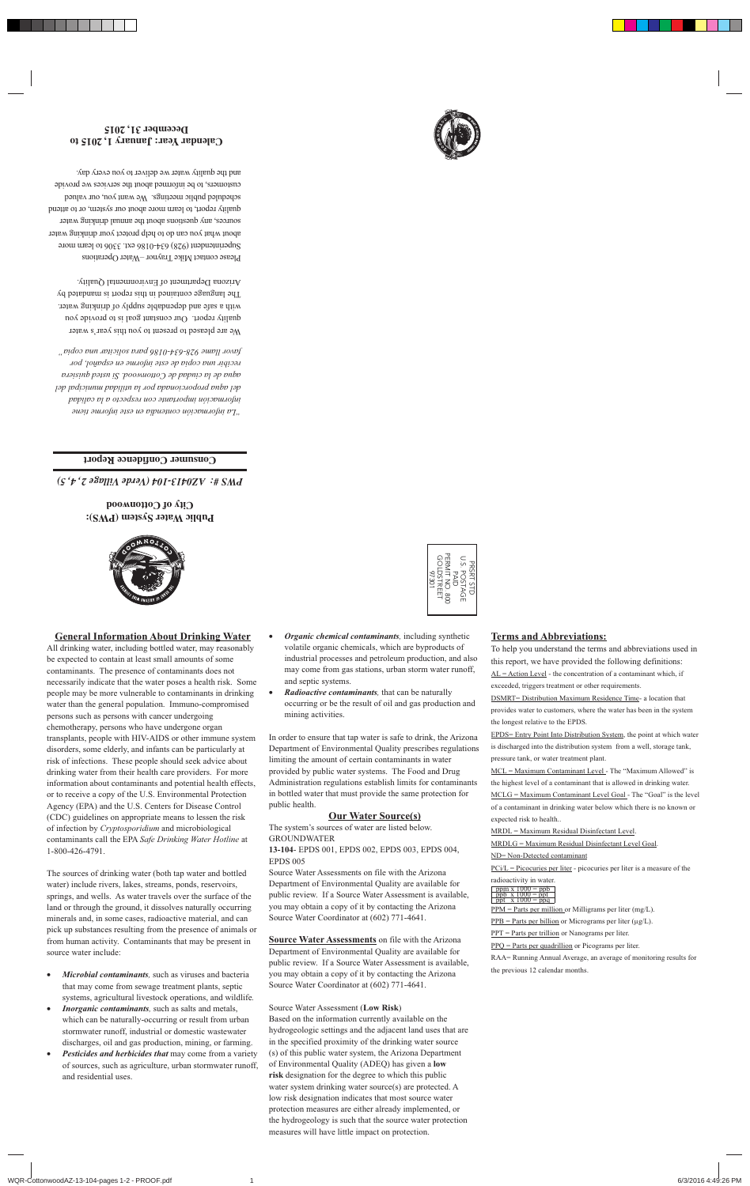#### **General Information About Drinking Water**

All drinking water, including bottled water, may reasonably be expected to contain at least small amounts of some contaminants. The presence of contaminants does not necessarily indicate that the water poses a health risk. Some people may be more vulnerable to contaminants in drinking water than the general population. Immuno-compromised persons such as persons with cancer undergoing chemotherapy, persons who have undergone organ transplants, people with HIV-AIDS or other immune system disorders, some elderly, and infants can be particularly at risk of infections. These people should seek advice about drinking water from their health care providers. For more information about contaminants and potential health effects, or to receive a copy of the U.S. Environmental Protection Agency (EPA) and the U.S. Centers for Disease Control (CDC) guidelines on appropriate means to lessen the risk of infection by *Cryptosporidium* and microbiological contaminants call the EPA *Safe Drinking Water Hotline* at 1-800-426-4791.

The sources of drinking water (both tap water and bottled water) include rivers, lakes, streams, ponds, reservoirs, springs, and wells. As water travels over the surface of the land or through the ground, it dissolves naturally occurring minerals and, in some cases, radioactive material, and can pick up substances resulting from the presence of animals or from human activity. Contaminants that may be present in source water include:

- *Microbial contaminants*, such as viruses and bacteria that may come from sewage treatment plants, septic systems, agricultural livestock operations, and wildlife*.*
- *Inorganic contaminants,* such as salts and metals, which can be naturally-occurring or result from urban stormwater runoff, industrial or domestic wastewater discharges, oil and gas production, mining, or farming.
- *Pesticides and herbicides that* may come from a variety of sources, such as agriculture, urban stormwater runoff, and residential uses.
- *Organic chemical contaminants,* including synthetic volatile organic chemicals, which are byproducts of industrial processes and petroleum production, and also may come from gas stations, urban storm water runoff, and septic systems.
- *Radioactive contaminants,* that can be naturally occurring or be the result of oil and gas production and mining activities.

In order to ensure that tap water is safe to drink, the Arizona Department of Environmental Quality prescribes regulations limiting the amount of certain contaminants in water provided by public water systems. The Food and Drug Administration regulations establish limits for contaminants in bottled water that must provide the same protection for public health.

#### **Our Water Source(s)**

The system's sources of water are listed below. GROUNDWATER **13-104**- EPDS 001, EPDS 002, EPDS 003, EPDS 004, EPDS 005

Source Water Assessments on file with the Arizona Department of Environmental Quality are available for public review. If a Source Water Assessment is available, you may obtain a copy of it by contacting the Arizona Source Water Coordinator at (602) 771-4641.

**Source Water Assessments** on file with the Arizona Department of Environmental Quality are available for public review. If a Source Water Assessment is available, you may obtain a copy of it by contacting the Arizona Source Water Coordinator at (602) 771-4641.

Source Water Assessment (**Low Risk**)

Based on the information currently available on the hydrogeologic settings and the adjacent land uses that are in the specified proximity of the drinking water source (s) of this public water system, the Arizona Department of Environmental Quality (ADEQ) has given a **low risk** designation for the degree to which this public water system drinking water source(s) are protected. A low risk designation indicates that most source water protection measures are either already implemented, or the hydrogeology is such that the source water protection measures will have little impact on protection.

### **Terms and Abbreviations:**

To help you understand the terms and abbreviations used in this report, we have provided the following definitions:  $AL = Action Level - the concentration of a contaminant which, if$ exceeded, triggers treatment or other requirements.

DSMRT= Distribution Maximum Residence Time- a location that provides water to customers, where the water has been in the system the longest relative to the EPDS.

EPDS= Entry Point Into Distribution System, the point at which water is discharged into the distribution system from a well, storage tank, pressure tank, or water treatment plant.

MCL = Maximum Contaminant Level - The "Maximum Allowed" is the highest level of a contaminant that is allowed in drinking water. MCLG = Maximum Contaminant Level Goal - The "Goal" is the level of a contaminant in drinking water below which there is no known or expected risk to health..

MRDL = Maximum Residual Disinfectant Level.

MRDLG = Maximum Residual Disinfectant Level Goal.

#### ND= Non-Detected contaminant

 $PCi/L = Picocuries$  per liter - picocuries per liter is a measure of the

#### radioactivity in water.

ppm x 1000 = ppb ppb x 1000 = ppt ppt x 1000 = ppq

PPM = Parts per million or Milligrams per liter (mg/L).  $PPB = Parts per billion or Micrograms per liter (µg/L).$ PPT = Parts per trillion or Nanograms per liter. PPQ = Parts per quadrillion or Picograms per liter. RAA= Running Annual Average, an average of monitoring results for

the previous 12 calendar months.